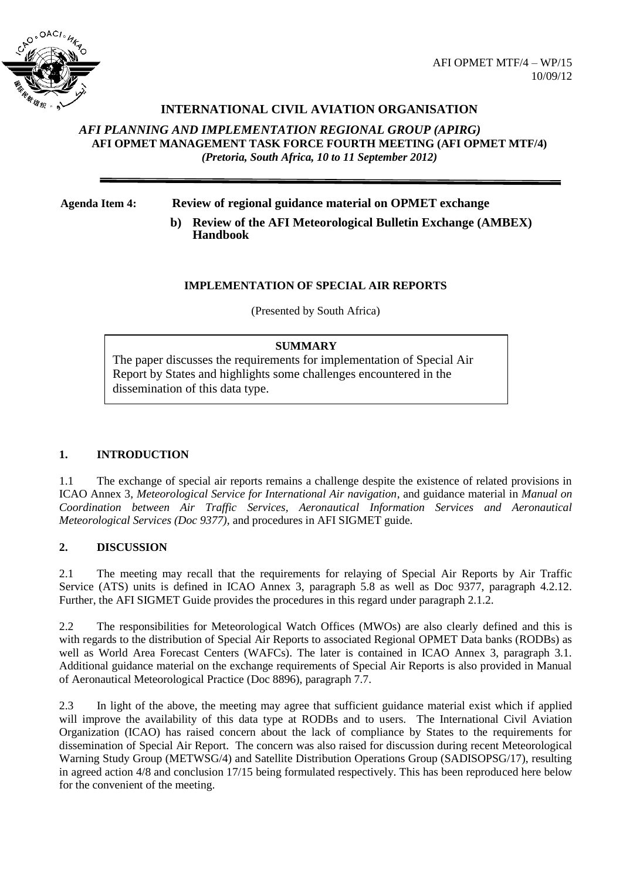

# **INTERNATIONAL CIVIL AVIATION ORGANISATION**

## *AFI PLANNING AND IMPLEMENTATION REGIONAL GROUP (APIRG)* **AFI OPMET MANAGEMENT TASK FORCE FOURTH MEETING (AFI OPMET MTF/4)**  *(Pretoria, South Africa, 10 to 11 September 2012)*

**Agenda Item 4: Review of regional guidance material on OPMET exchange**

**b) Review of the AFI Meteorological Bulletin Exchange (AMBEX) Handbook**

### **IMPLEMENTATION OF SPECIAL AIR REPORTS**

(Presented by South Africa)

### **SUMMARY**

The paper discusses the requirements for implementation of Special Air Report by States and highlights some challenges encountered in the dissemination of this data type.

## **1. INTRODUCTION**

1.1 The exchange of special air reports remains a challenge despite the existence of related provisions in ICAO Annex 3, *Meteorological Service for International Air navigation*, and guidance material in *Manual on Coordination between Air Traffic Services, Aeronautical Information Services and Aeronautical Meteorological Services (Doc 9377),* and procedures in AFI SIGMET guide.

## **2. DISCUSSION**

2.1 The meeting may recall that the requirements for relaying of Special Air Reports by Air Traffic Service (ATS) units is defined in ICAO Annex 3, paragraph 5.8 as well as Doc 9377, paragraph 4.2.12. Further, the AFI SIGMET Guide provides the procedures in this regard under paragraph 2.1.2.

2.2 The responsibilities for Meteorological Watch Offices (MWOs) are also clearly defined and this is with regards to the distribution of Special Air Reports to associated Regional OPMET Data banks (RODBs) as well as World Area Forecast Centers (WAFCs). The later is contained in ICAO Annex 3, paragraph 3.1. Additional guidance material on the exchange requirements of Special Air Reports is also provided in Manual of Aeronautical Meteorological Practice (Doc 8896), paragraph 7.7.

2.3 In light of the above, the meeting may agree that sufficient guidance material exist which if applied will improve the availability of this data type at RODBs and to users. The International Civil Aviation Organization (ICAO) has raised concern about the lack of compliance by States to the requirements for dissemination of Special Air Report. The concern was also raised for discussion during recent Meteorological Warning Study Group (METWSG/4) and Satellite Distribution Operations Group (SADISOPSG/17), resulting in agreed action 4/8 and conclusion 17/15 being formulated respectively. This has been reproduced here below for the convenient of the meeting.